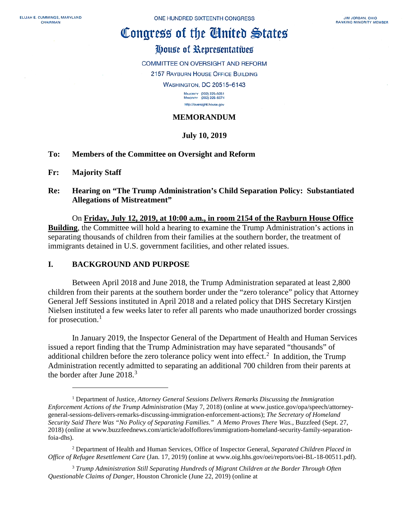# Congress of the Cinited States

# House of Representatives

COMMITTEE ON OVERSIGHT AND REFORM

2157 RAYBURN HOUSE OFFICE BUILDING

**WASHINGTON, DC 20515-6143** 

MAJORITY (202) 225-5051<br>MINORITY (202) 225-5074 http://oversight.house.gov

## **MEMORANDUM**

## **July 10, 2019**

### **To: Members of the Committee on Oversight and Reform**

#### **Fr: Majority Staff**

 $\overline{a}$ 

### **Re: Hearing on "The Trump Administration's Child Separation Policy: Substantiated Allegations of Mistreatment"**

On **Friday, July 12, 2019, at 10:00 a.m., in room 2154 of the Rayburn House Office Building**, the Committee will hold a hearing to examine the Trump Administration's actions in separating thousands of children from their families at the southern border, the treatment of immigrants detained in U.S. government facilities, and other related issues.

### **I. BACKGROUND AND PURPOSE**

Between April 2018 and June 2018, the Trump Administration separated at least 2,800 children from their parents at the southern border under the "zero tolerance" policy that Attorney General Jeff Sessions instituted in April 2018 and a related policy that DHS Secretary Kirstjen Nielsen instituted a few weeks later to refer all parents who made unauthorized border crossings for prosecution.<sup>[1](#page-0-0)</sup>

In January 2019, the Inspector General of the Department of Health and Human Services issued a report finding that the Trump Administration may have separated "thousands" of additional children before the zero tolerance policy went into effect.<sup>[2](#page-0-1)</sup> In addition, the Trump Administration recently admitted to separating an additional 700 children from their parents at the border after June 2018.<sup>[3](#page-0-2)</sup>

<span id="page-0-0"></span><sup>1</sup> Department of Justice, *Attorney General Sessions Delivers Remarks Discussing the Immigration Enforcement Actions of the Trump Administration* (May 7, 2018) (online at www.justice.gov/opa/speech/attorneygeneral-sessions-delivers-remarks-discussing-immigration-enforcement-actions); *The Secretary of Homeland Security Said There Was "No Policy of Separating Families." A Memo Proves There Was.,* Buzzfeed (Sept. 27, 2018) (online at www.buzzfeednews.com/article/adolfoflores/immigratiom-homeland-security-family-separationfoia-dhs).

<span id="page-0-1"></span><sup>2</sup> Department of Health and Human Services, Office of Inspector General, *Separated Children Placed in Office of Refugee Resettlement Care* (Jan. 17, 2019) (online at www.oig.hhs.gov/oei/reports/oei-BL-18-00511.pdf).

<span id="page-0-2"></span><sup>3</sup> *Trump Administration Still Separating Hundreds of Migrant Children at the Border Through Often Questionable Claims of Danger*, Houston Chronicle (June 22, 2019) (online at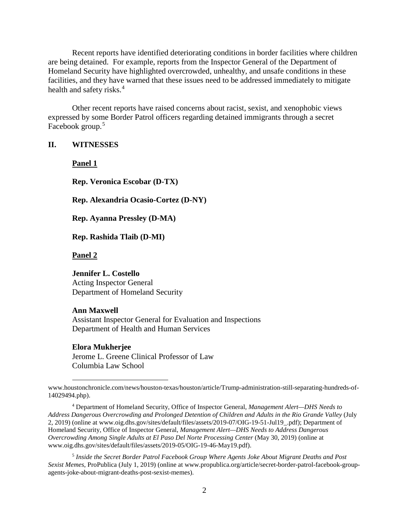Recent reports have identified deteriorating conditions in border facilities where children are being detained. For example, reports from the Inspector General of the Department of Homeland Security have highlighted overcrowded, unhealthy, and unsafe conditions in these facilities, and they have warned that these issues need to be addressed immediately to mitigate health and safety risks.<sup>[4](#page-1-0)</sup>

Other recent reports have raised concerns about racist, sexist, and xenophobic views expressed by some Border Patrol officers regarding detained immigrants through a secret Facebook group.<sup>[5](#page-1-1)</sup>

#### **II. WITNESSES**

**Panel 1**

**Rep. Veronica Escobar (D-TX)** 

**Rep. Alexandria Ocasio-Cortez (D-NY)** 

**Rep. Ayanna Pressley (D-MA)**

**Rep. Rashida Tlaib (D-MI)**

**Panel 2**

#### **Jennifer L. Costello**

Acting Inspector General Department of Homeland Security

#### **Ann Maxwell**

Assistant Inspector General for Evaluation and Inspections Department of Health and Human Services

#### **Elora Mukherjee**

 $\overline{a}$ 

Jerome L. Greene Clinical Professor of Law Columbia Law School

www.houstonchronicle.com/news/houston-texas/houston/article/Trump-administration-still-separating-hundreds-of-14029494.php).

<span id="page-1-0"></span><sup>4</sup> Department of Homeland Security, Office of Inspector General, *Management Alert—DHS Needs to Address Dangerous Overcrowding and Prolonged Detention of Children and Adults in the Rio Grande Valley* (July 2, 2019) (online at www.oig.dhs.gov/sites/default/files/assets/2019-07/OIG-19-51-Jul19\_.pdf); Department of Homeland Security, Office of Inspector General, *Management Alert—DHS Needs to Address Dangerous Overcrowding Among Single Adults at El Paso Del Norte Processing Center* (May 30, 2019) (online at www.oig.dhs.gov/sites/default/files/assets/2019-05/OIG-19-46-May19.pdf).

<span id="page-1-1"></span><sup>5</sup> *Inside the Secret Border Patrol Facebook Group Where Agents Joke About Migrant Deaths and Post Sexist Memes*, ProPublica (July 1, 2019) (online at www.propublica.org/article/secret-border-patrol-facebook-groupagents-joke-about-migrant-deaths-post-sexist-memes).